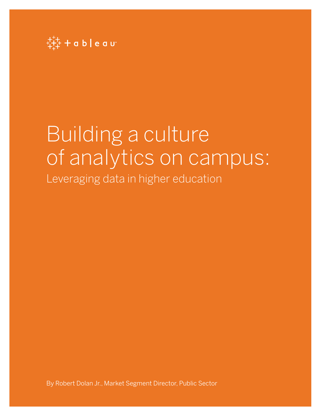

# Building a culture of analytics on campus: Leveraging data in higher education

By Robert Dolan Jr., Market Segment Director, Public Sector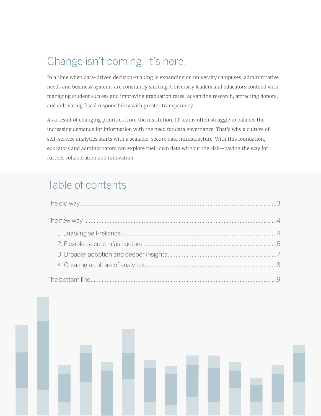# Change isn't coming. It's here.

In a time when data-driven decision-making is expanding on university campuses, administrative needs and business systems are constantly shifting. University leaders and educators contend with managing student success and improving graduation rates, advancing research, attracting donors, and cultivating fiscal responsibility with greater transparency.

As a result of changing priorities from the institution, IT teams often struggle to balance the increasing demands for information with the need for data governance. That's why a culture of self-service analytics starts with a scalable, secure data infrastructure. With this foundation, educators and administrators can explore their own data without the risk—paving the way for further collaboration and innovation.

# Table of contents

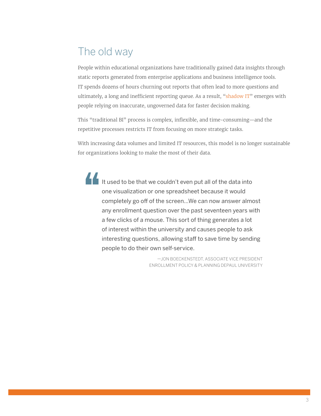# The old way

People within educational organizations have traditionally gained data insights through static reports generated from enterprise applications and business intelligence tools. IT spends dozens of hours churning out reports that often lead to more questions and ultimately, a long and inefficient reporting queue. As a result, "[shadow IT"](https://www.tableau.com/about/blog/2017/7/5-reasons-rethink-your-governance-strategy-73566) emerges with people relying on inaccurate, ungoverned data for faster decision making.

This "traditional BI" process is complex, inflexible, and time-consuming—and the repetitive processes restricts IT from focusing on more strategic tasks.

With increasing data volumes and limited IT resources, this model is no longer sustainable for organizations looking to make the most of their data.

It used to be that we couldn't even put all of the data into one visualization or one spreadsheet because it would completely go off of the screen…We can now answer almost any enrollment question over the past seventeen years with a few clicks of a mouse. This sort of thing generates a lot of interest within the university and causes people to ask interesting questions, allowing staff to save time by sending people to do their own self-service.

> —JON BOECKENSTEDT, ASSOCIATE VICE PRESIDENT ENROLLMENT POLICY & PLANNING DEPAUL UNIVERSITY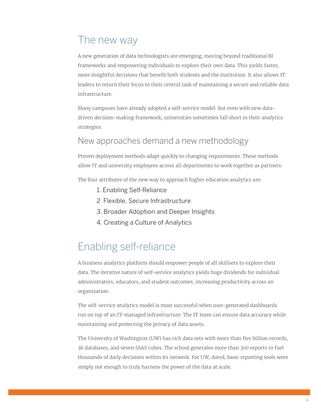## The new way

A new generation of data technologists are emerging, moving beyond traditional BI frameworks and empowering individuals to explore their own data. This yields faster, more insightful decisions that benefit both students and the institution. It also allows IT leaders to return their focus to their central task of maintaining a secure and reliable data infrastructure.

Many campuses have already adopted a self-service model. But even with new datadriven decision-making framework, universities sometimes fall short in their analytics strategies.

#### New approaches demand a new methodology

Proven deployment methods adapt quickly to changing requirements. These methods allow IT and university employees across all departments to work together as partners.

The four attributes of the new way to approach higher education analytics are:

- 1. Enabling Self-Reliance
- 2 Flexible, Secure Infrastructure
- 3. Broader Adoption and Deeper Insights
- 4. Creating a Culture of Analytics

## Enabling self-reliance

A business analytics platform should empower people of all skillsets to explore their data. The iterative nature of self-service analytics yields huge dividends for individual administrators, educators, and student outcomes, increasing productivity across an organization.

The self-service analytics model is most successful when user-generated dashboards run on top of an IT-managed infrastructure. The IT team can ensure data accuracy while maintaining and protecting the privacy of data assets.

The University of Washington (UW) has rich data sets with more than five billion records, 36 databases, and seven SSAS cubes. The school generates more than 300 reports to fuel thousands of daily decisions within its network. For UW, dated, basic reporting tools were simply not enough to truly harness the power of the data at scale.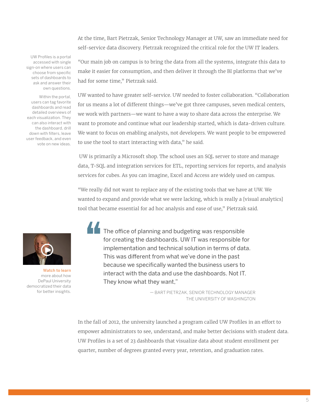At the time, Bart Pietrzak, Senior Technology Manager at UW, saw an immediate need for self-service data discovery. Pietrzak recognized the critical role for the UW IT leaders.

UW Profiles is a portal accessed with single [sign-on where users can](https://tc14.tableau.com/schedule/content/599)  choose from specific sets of dashboards to ask and answer their own questions.

Within the portal, users can tag favorite dashboards and read detailed overviews of each visualization. They can also interact with the dashboard, drill down with filters, leave user feedback, and even vote on new ideas.

"Our main job on campus is to bring the data from all the systems, integrate this data to make it easier for consumption, and then deliver it through the BI platforms that we've had for some time," Pietrzak said.

UW wanted to have greater self-service. UW needed to foster collaboration. "Collaboration for us means a lot of different things—we've got three campuses, seven medical centers, we work with partners—we want to have a way to share data across the enterprise. We want to promote and continue what our leadership started, which is data-driven culture. We want to focus on enabling analysts, not developers. We want people to be empowered to use the tool to start interacting with data," he said.

 UW is primarily a Microsoft shop. The school uses an SQL server to store and manage data, T-SQL and integration services for ETL, reporting services for reports, and analysis services for cubes. As you can imagine, Excel and Access are widely used on campus.

"We really did not want to replace any of the existing tools that we have at UW. We wanted to expand and provide what we were lacking, which is really a [visual analytics] tool that became essential for ad hoc analysis and ease of use," Pietrzak said.



Watch to learn more about how DePaul University democratized their data for better insights.

The office of planning and budgeting was responsible for creating the dashboards. UW IT was responsible for implementation and technical solution in terms of data. This was different from what we've done in the past because we specifically wanted the business users to interact with the data and use the dashboards. Not IT. They know what they want,"

> — BART PIETRZAK, SENIOR TECHNOLOGY MANAGER THE UNIVERSITY OF WASHINGTON

In the fall of 2012, the university launched a program called UW Profiles in an effort to empower administrators to see, understand, and make better decisions with student data. UW Profiles is a set of 23 dashboards that visualize data about student enrollment per quarter, number of degrees granted every year, retention, and graduation rates.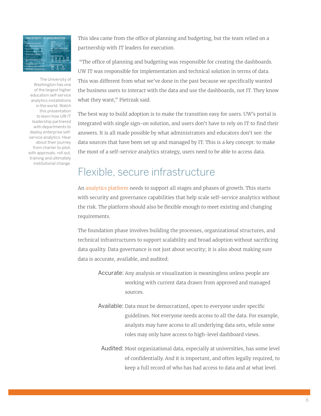

The University of Washington has one of the largest higher education self-service analytics installations in the world. Watch this presentation to learn how UW IT leadership partnered with departments to deploy enterprise selfservice analytics. Hear about their journey from charter to pilot, [with approvals, roll out,](https://tc14.tableau.com/schedule/content/599)  training and ultimately institutional change.

This idea came from the office of planning and budgeting, but the team relied on a partnership with IT leaders for execution.

 "The office of planning and budgeting was responsible for creating the dashboards. UW IT was responsible for implementation and technical solution in terms of data. This was different from what we've done in the past because we specifically wanted the business users to interact with the data and use the dashboards, not IT. They know what they want," Pietrzak said.

The best way to build adoption is to make the transition easy for users. UW's portal is integrated with single sign-on solution, and users don't have to rely on IT to find their answers. It is all made possible by what administrators and educators don't see: the data sources that have been set up and managed by IT. This is a key concept: to make the most of a self-service analytics strategy, users need to be able to access data.

#### Flexible, secure infrastructure

An [analytics platform](https://www.tableau.com/learn/whitepapers/evaluation-guide-how-choose-right-modern-bi-analytics-platform) needs to support all stages and phases of growth. This starts with security and governance capabilities that help scale self-service analytics without the risk. The platform should also be flexible enough to meet existing and changing requirements.

The foundation phase involves building the processes, organizational structures, and technical infrastructures to support scalability and broad adoption without sacrificing data quality. Data governance is not just about security; it is also about making sure data is accurate, available, and audited:

- Accurate: Any analysis or visualization is meaningless unless people are working with current data drawn from approved and managed sources.
- Available: Data must be democratized, open to everyone under specific guidelines. Not everyone needs access to all the data. For example, analysts may have access to all underlying data sets, while some roles may only have access to high-level dashboard views.
- Audited: Most organizational data, especially at universities, has some level of confidentially. And it is important, and often legally required, to keep a full record of who has had access to data and at what level.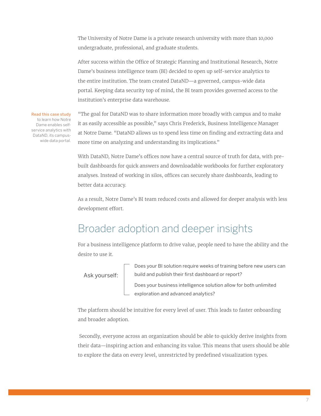The University of Notre Dame is a private research university with more than 10,000 undergraduate, professional, and graduate students.

After success within the Office of Strategic Planning and Institutional Research, Notre Dame's business intelligence team (BI) decided to open up self-service analytics to the entire institution. The team created DataND—a governed, campus-wide data portal. Keeping data security top of mind, the BI team provides governed access to the institution's enterprise data warehouse.

[Read this case study](https://www.tableau.com/solutions/customer/university-notre-dame-10x-faster-analysis-tableau-snowflake ) [to learn how Notre](https://www.tableau.com/solutions/customer/university-notre-dame-10x-faster-analysis-tableau-snowflake ) [Dame enables self](https://www.tableau.com/solutions/customer/university-notre-dame-10x-faster-analysis-tableau-snowflake )[service analytics with](https://www.tableau.com/solutions/customer/university-notre-dame-10x-faster-analysis-tableau-snowflake ) [DataND, its campus](https://www.tableau.com/solutions/customer/university-notre-dame-10x-faster-analysis-tableau-snowflake )[wide data portal.](https://www.tableau.com/solutions/customer/university-notre-dame-10x-faster-analysis-tableau-snowflake )

"The goal for DataND was to share information more broadly with campus and to make it as easily accessible as possible," says Chris Frederick, Business Intelligence Manager at Notre Dame. "DataND allows us to spend less time on finding and extracting data and more time on analyzing and understanding its implications."

With DataND, Notre Dame's offices now have a central source of truth for data, with prebuilt dashboards for quick answers and downloadable workbooks for further exploratory analyses. Instead of working in silos, offices can securely share dashboards, leading to better data accuracy.

As a result, Notre Dame's BI team reduced costs and allowed for deeper analysis with less development effort.

#### Broader adoption and deeper insights

For a business intelligence platform to drive value, people need to have the ability and the desire to use it.

Ask yourself:

 Does your BI solution require weeks of training before new users can build and publish their first dashboard or report?

 Does your business intelligence solution allow for both unlimited exploration and advanced analytics?

The platform should be intuitive for every level of user. This leads to faster onboarding and broader adoption.

 Secondly, everyone across an organization should be able to quickly derive insights from their data—inspiring action and enhancing its value. This means that users should be able to explore the data on every level, unrestricted by predefined visualization types.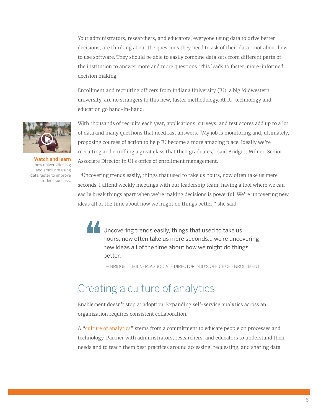Your administrators, researchers, and educators, everyone using data to drive better decisions, are thinking about the questions they need to ask of their data—not about how to use software. They should be able to easily combine data sets from different parts of the institution to answer more and more questions. This leads to faster, more-informed decision making.

Enrollment and recruiting officers from Indiana University (IU), a big Midwestern university, are no strangers to this new, faster methodology. At IU, technology and education go hand-in-hand.



Watch and learn how universities big and small are using data faster to improve student success.

With thousands of recruits each year, applications, surveys, and test scores add up to a lot of data and many questions that need fast answers. "My job is monitoring and, ultimately, proposing courses of action to help IU become a more amazing place. Ideally we're recruiting and enrolling a great class that then graduates," said Bridgett Milner, Senior Associate Director in UI's office of enrollment management.

 "Uncovering trends easily, things that used to take us hours, now often take us mere seconds. I attend weekly meetings with our leadership team; having a tool where we can easily break things apart when we're making decisions is powerful. We're uncovering new ideas all of the time about how we might do things better," she said.

Uncovering trends easily, things that used to take us hours, now often take us mere seconds… we're uncovering new ideas all of the time about how we might do things better.

— BRIDGETT MILNER, ASSOCIATE DIRECTOR IN IU'S OFFICE OF ENROLLMENT

#### Creating a culture of analytics

Enablement doesn't stop at adoption. Expanding self-service analytics across an organization requires consistent collaboration.

A "[culture of analytics](https://www.tableau.com/learn/whitepapers/how-build-culture-self-service-analytics?ref=wc&signin=63ad7d7b42418b136ad5506ad0e7c822)" stems from a commitment to educate people on processes and technology. Partner with administrators, researchers, and educators to understand their needs and to teach them best practices around accessing, requesting, and sharing data.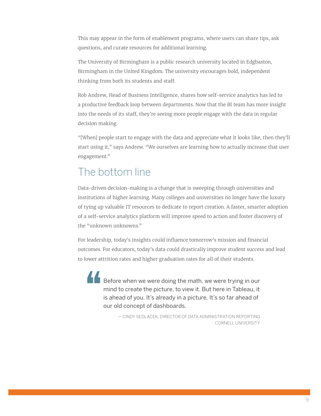This may appear in the form of enablement programs, where users can share tips, ask questions, and curate resources for additional learning.

The University of Birmingham is a public research university located in Edgbaston, Birmingham in the United Kingdom. The university encourages bold, independent thinking from both its students and staff.

Rob Andrew, Head of Business Intelligence, shares how self-service analytics has led to a productive feedback loop between departments. Now that the BI team has more insight into the needs of its staff, they're seeing more people engage with the data in regular decision making.

"[When] people start to engage with the data and appreciate what it looks like, then they'll start using it," says Andrew. "We ourselves are learning how to actually increase that user engagement."

# The bottom line

Data-driven decision-making is a change that is sweeping through universities and institutions of higher learning. Many colleges and universities no longer have the luxury of tying up valuable IT resources to dedicate to report creation. A faster, smarter adoption of a self-service analytics platform will improve speed to action and foster discovery of the "unknown unknowns."

For leadership, today's insights could influence tomorrow's mission and financial outcomes. For educators, today's data could drastically improve student success and lead to lower attrition rates and higher graduation rates for all of their students.

Before when we were doing the math, we were trying in our mind to create the picture, to view it. But here in Tableau, it is ahead of you. It's already in a picture. It's so far ahead of our old concept of dashboards.

> — CINDY SEDLACEK, DIRECTOR OF DATA ADMINISTRATION REPORTING CORNELL UNIVERSITY